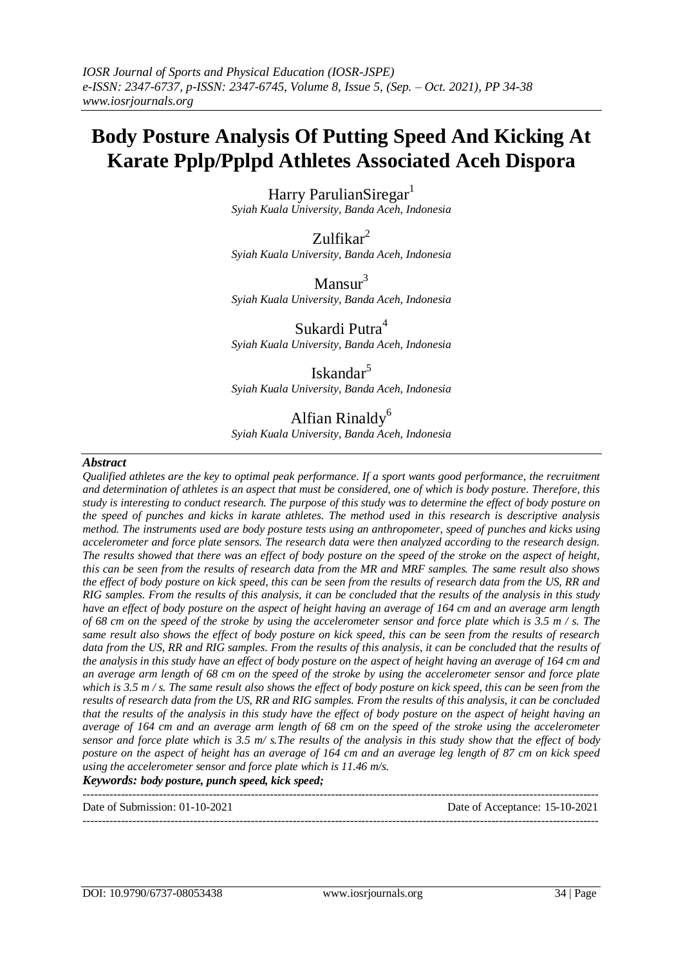# **Body Posture Analysis Of Putting Speed And Kicking At Karate Pplp/Pplpd Athletes Associated Aceh Dispora**

Harry ParulianSiregar<sup>1</sup> *Syiah Kuala University, Banda Aceh, Indonesia*

 $Zulfikar<sup>2</sup>$ *Syiah Kuala University, Banda Aceh, Indonesia*

 $Mansur<sup>3</sup>$ *Syiah Kuala University, Banda Aceh, Indonesia*

Sukardi Putra<sup>4</sup> *Syiah Kuala University, Banda Aceh, Indonesia*

Iskandar<sup>5</sup> *Syiah Kuala University, Banda Aceh, Indonesia*

# Alfian Rinaldy<sup>6</sup>

*Syiah Kuala University, Banda Aceh, Indonesia*

#### *Abstract*

*Qualified athletes are the key to optimal peak performance. If a sport wants good performance, the recruitment and determination of athletes is an aspect that must be considered, one of which is body posture. Therefore, this study is interesting to conduct research. The purpose of this study was to determine the effect of body posture on the speed of punches and kicks in karate athletes. The method used in this research is descriptive analysis method. The instruments used are body posture tests using an anthropometer, speed of punches and kicks using accelerometer and force plate sensors. The research data were then analyzed according to the research design. The results showed that there was an effect of body posture on the speed of the stroke on the aspect of height, this can be seen from the results of research data from the MR and MRF samples. The same result also shows the effect of body posture on kick speed, this can be seen from the results of research data from the US, RR and RIG samples. From the results of this analysis, it can be concluded that the results of the analysis in this study have an effect of body posture on the aspect of height having an average of 164 cm and an average arm length of 68 cm on the speed of the stroke by using the accelerometer sensor and force plate which is 3.5 m / s. The same result also shows the effect of body posture on kick speed, this can be seen from the results of research*  data from the US, RR and RIG samples. From the results of this analysis, it can be concluded that the results of *the analysis in this study have an effect of body posture on the aspect of height having an average of 164 cm and an average arm length of 68 cm on the speed of the stroke by using the accelerometer sensor and force plate which is 3.5 m / s. The same result also shows the effect of body posture on kick speed, this can be seen from the results of research data from the US, RR and RIG samples. From the results of this analysis, it can be concluded that the results of the analysis in this study have the effect of body posture on the aspect of height having an average of 164 cm and an average arm length of 68 cm on the speed of the stroke using the accelerometer sensor and force plate which is 3.5 m/ s.The results of the analysis in this study show that the effect of body posture on the aspect of height has an average of 164 cm and an average leg length of 87 cm on kick speed using the accelerometer sensor and force plate which is 11.46 m/s.*

---------------------------------------------------------------------------------------------------------------------------------------

*Keywords: body posture, punch speed, kick speed;*

---------------------------------------------------------------------------------------------------------------------------------------

Date of Submission: 01-10-2021 Date of Acceptance: 15-10-2021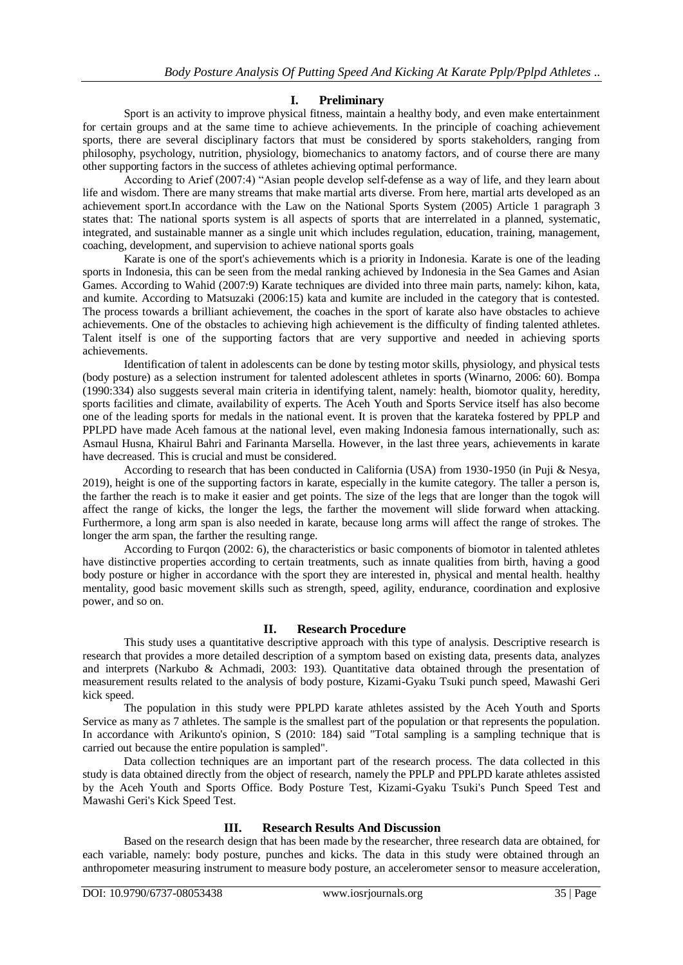# **I. Preliminary**

Sport is an activity to improve physical fitness, maintain a healthy body, and even make entertainment for certain groups and at the same time to achieve achievements. In the principle of coaching achievement sports, there are several disciplinary factors that must be considered by sports stakeholders, ranging from philosophy, psychology, nutrition, physiology, biomechanics to anatomy factors, and of course there are many other supporting factors in the success of athletes achieving optimal performance.

According to Arief (2007:4) "Asian people develop self-defense as a way of life, and they learn about life and wisdom. There are many streams that make martial arts diverse. From here, martial arts developed as an achievement sport.In accordance with the Law on the National Sports System (2005) Article 1 paragraph 3 states that: The national sports system is all aspects of sports that are interrelated in a planned, systematic, integrated, and sustainable manner as a single unit which includes regulation, education, training, management, coaching, development, and supervision to achieve national sports goals

Karate is one of the sport's achievements which is a priority in Indonesia. Karate is one of the leading sports in Indonesia, this can be seen from the medal ranking achieved by Indonesia in the Sea Games and Asian Games. According to Wahid (2007:9) Karate techniques are divided into three main parts, namely: kihon, kata, and kumite. According to Matsuzaki (2006:15) kata and kumite are included in the category that is contested. The process towards a brilliant achievement, the coaches in the sport of karate also have obstacles to achieve achievements. One of the obstacles to achieving high achievement is the difficulty of finding talented athletes. Talent itself is one of the supporting factors that are very supportive and needed in achieving sports achievements.

Identification of talent in adolescents can be done by testing motor skills, physiology, and physical tests (body posture) as a selection instrument for talented adolescent athletes in sports (Winarno, 2006: 60). Bompa (1990:334) also suggests several main criteria in identifying talent, namely: health, biomotor quality, heredity, sports facilities and climate, availability of experts. The Aceh Youth and Sports Service itself has also become one of the leading sports for medals in the national event. It is proven that the karateka fostered by PPLP and PPLPD have made Aceh famous at the national level, even making Indonesia famous internationally, such as: Asmaul Husna, Khairul Bahri and Farinanta Marsella. However, in the last three years, achievements in karate have decreased. This is crucial and must be considered.

According to research that has been conducted in California (USA) from 1930-1950 (in Puji & Nesya, 2019), height is one of the supporting factors in karate, especially in the kumite category. The taller a person is, the farther the reach is to make it easier and get points. The size of the legs that are longer than the togok will affect the range of kicks, the longer the legs, the farther the movement will slide forward when attacking. Furthermore, a long arm span is also needed in karate, because long arms will affect the range of strokes. The longer the arm span, the farther the resulting range.

According to Furgon (2002: 6), the characteristics or basic components of biomotor in talented athletes have distinctive properties according to certain treatments, such as innate qualities from birth, having a good body posture or higher in accordance with the sport they are interested in, physical and mental health. healthy mentality, good basic movement skills such as strength, speed, agility, endurance, coordination and explosive power, and so on.

# **II. Research Procedure**

This study uses a quantitative descriptive approach with this type of analysis. Descriptive research is research that provides a more detailed description of a symptom based on existing data, presents data, analyzes and interprets (Narkubo & Achmadi, 2003: 193). Quantitative data obtained through the presentation of measurement results related to the analysis of body posture, Kizami-Gyaku Tsuki punch speed, Mawashi Geri kick speed.

The population in this study were PPLPD karate athletes assisted by the Aceh Youth and Sports Service as many as 7 athletes. The sample is the smallest part of the population or that represents the population. In accordance with Arikunto's opinion, S (2010: 184) said "Total sampling is a sampling technique that is carried out because the entire population is sampled".

Data collection techniques are an important part of the research process. The data collected in this study is data obtained directly from the object of research, namely the PPLP and PPLPD karate athletes assisted by the Aceh Youth and Sports Office. Body Posture Test, Kizami-Gyaku Tsuki's Punch Speed Test and Mawashi Geri's Kick Speed Test.

## **III. Research Results And Discussion**

Based on the research design that has been made by the researcher, three research data are obtained, for each variable, namely: body posture, punches and kicks. The data in this study were obtained through an anthropometer measuring instrument to measure body posture, an accelerometer sensor to measure acceleration,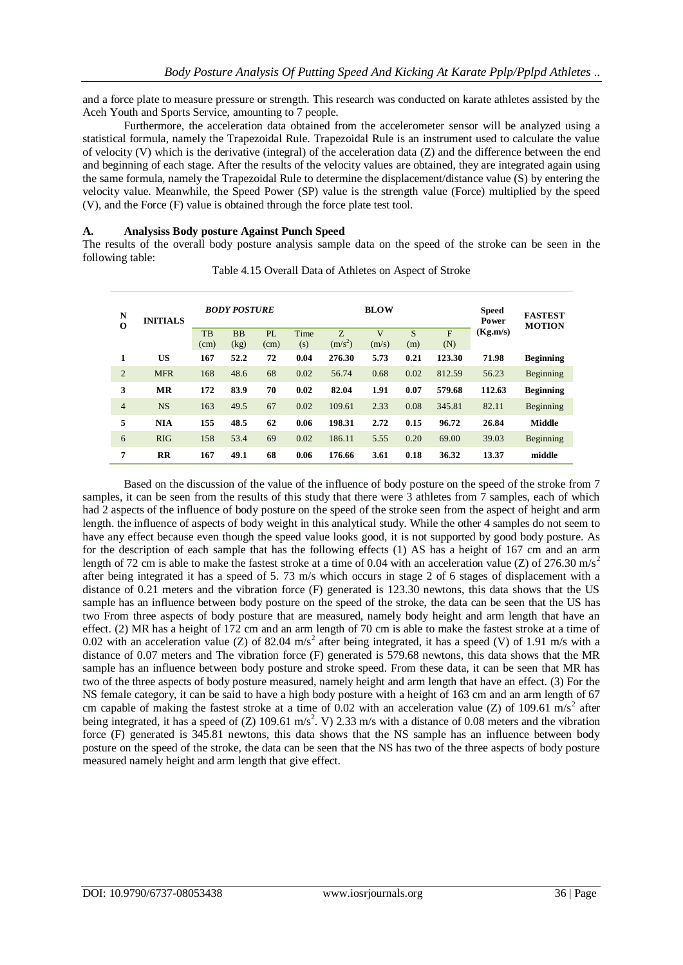and a force plate to measure pressure or strength. This research was conducted on karate athletes assisted by the Aceh Youth and Sports Service, amounting to 7 people.

Furthermore, the acceleration data obtained from the accelerometer sensor will be analyzed using a statistical formula, namely the Trapezoidal Rule. Trapezoidal Rule is an instrument used to calculate the value of velocity (V) which is the derivative (integral) of the acceleration data (Z) and the difference between the end and beginning of each stage. After the results of the velocity values are obtained, they are integrated again using the same formula, namely the Trapezoidal Rule to determine the displacement/distance value (S) by entering the velocity value. Meanwhile, the Speed Power (SP) value is the strength value (Force) multiplied by the speed (V), and the Force (F) value is obtained through the force plate test tool.

#### **A. Analysiss Body posture Against Punch Speed**

The results of the overall body posture analysis sample data on the speed of the stroke can be seen in the following table:

| N<br>$\bf{0}$  | <b>INITIALS</b> | <b>BODY POSTURE</b> |              |            |             |                 | <b>BLOW</b>   | <b>Speed</b><br>Power | <b>FASTEST</b><br><b>MOTION</b> |          |                  |
|----------------|-----------------|---------------------|--------------|------------|-------------|-----------------|---------------|-----------------------|---------------------------------|----------|------------------|
|                |                 | TB                  | <b>BB</b>    | PL         | Time        | Z.<br>$(m/s^2)$ | V             | S                     | F                               | (Kg.m/s) |                  |
| 1              | US              | (cm)<br>167         | (kg)<br>52.2 | (cm)<br>72 | (s)<br>0.04 | 276.30          | (m/s)<br>5.73 | (m)<br>0.21           | (N)<br>123.30                   | 71.98    | <b>Beginning</b> |
| $\overline{2}$ | <b>MFR</b>      | 168                 | 48.6         | 68         | 0.02        | 56.74           | 0.68          | 0.02                  | 812.59                          | 56.23    | Beginning        |
| 3              | <b>MR</b>       | 172                 | 83.9         | 70         | 0.02        | 82.04           | 1.91          | 0.07                  | 579.68                          | 112.63   | <b>Beginning</b> |
| $\overline{4}$ | <b>NS</b>       | 163                 | 49.5         | 67         | 0.02        | 109.61          | 2.33          | 0.08                  | 345.81                          | 82.11    | Beginning        |
| 5              | <b>NIA</b>      | 155                 | 48.5         | 62         | 0.06        | 198.31          | 2.72          | 0.15                  | 96.72                           | 26.84    | Middle           |
| 6              | RIG             | 158                 | 53.4         | 69         | 0.02        | 186.11          | 5.55          | 0.20                  | 69.00                           | 39.03    | Beginning        |
| 7              | $_{\rm RR}$     | 167                 | 49.1         | 68         | 0.06        | 176.66          | 3.61          | 0.18                  | 36.32                           | 13.37    | middle           |

Table 4.15 Overall Data of Athletes on Aspect of Stroke

Based on the discussion of the value of the influence of body posture on the speed of the stroke from 7 samples, it can be seen from the results of this study that there were 3 athletes from 7 samples, each of which had 2 aspects of the influence of body posture on the speed of the stroke seen from the aspect of height and arm length. the influence of aspects of body weight in this analytical study. While the other 4 samples do not seem to have any effect because even though the speed value looks good, it is not supported by good body posture. As for the description of each sample that has the following effects (1) AS has a height of 167 cm and an arm length of 72 cm is able to make the fastest stroke at a time of 0.04 with an acceleration value (Z) of 276.30 m/s<sup>2</sup> after being integrated it has a speed of 5. 73 m/s which occurs in stage 2 of 6 stages of displacement with a distance of 0.21 meters and the vibration force (F) generated is 123.30 newtons, this data shows that the US sample has an influence between body posture on the speed of the stroke, the data can be seen that the US has two From three aspects of body posture that are measured, namely body height and arm length that have an effect. (2) MR has a height of 172 cm and an arm length of 70 cm is able to make the fastest stroke at a time of 0.02 with an acceleration value (Z) of 82.04 m/s<sup>2</sup> after being integrated, it has a speed (V) of 1.91 m/s with a distance of 0.07 meters and The vibration force (F) generated is 579.68 newtons, this data shows that the MR sample has an influence between body posture and stroke speed. From these data, it can be seen that MR has two of the three aspects of body posture measured, namely height and arm length that have an effect. (3) For the NS female category, it can be said to have a high body posture with a height of 163 cm and an arm length of 67 cm capable of making the fastest stroke at a time of 0.02 with an acceleration value (Z) of 109.61 m/s<sup>2</sup> after being integrated, it has a speed of (Z) 109.61 m/s<sup>2</sup>. V) 2.33 m/s with a distance of 0.08 meters and the vibration force (F) generated is 345.81 newtons, this data shows that the NS sample has an influence between body posture on the speed of the stroke, the data can be seen that the NS has two of the three aspects of body posture measured namely height and arm length that give effect.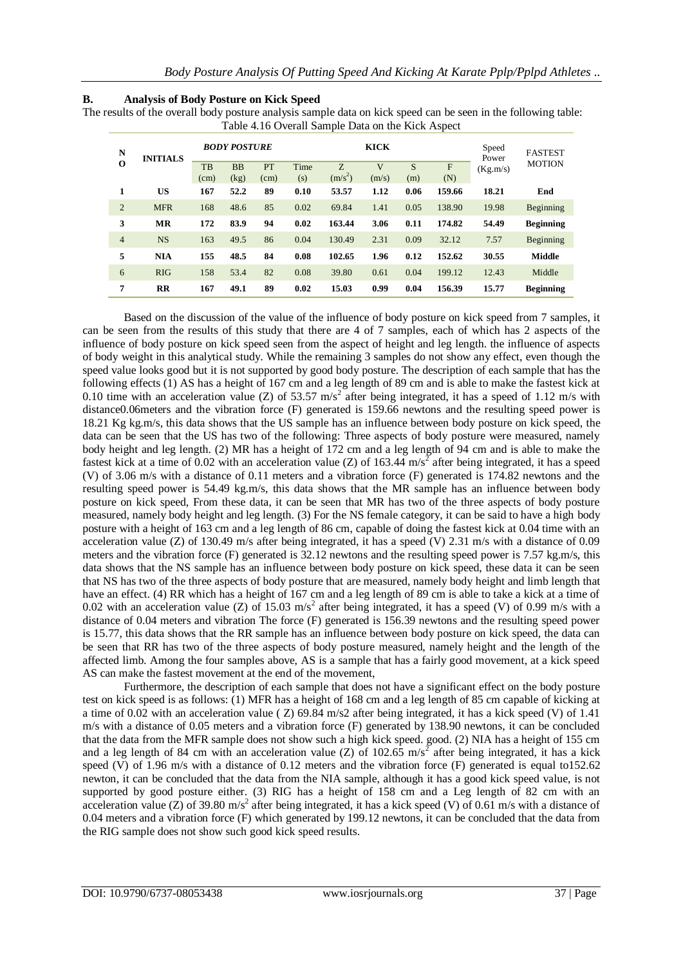| В. | <b>Analysis of Body Posture on Kick Speed</b> |  |  |
|----|-----------------------------------------------|--|--|
|    |                                               |  |  |

The results of the overall body posture analysis sample data on kick speed can be seen in the following table: Table 4.16 Overall Sample Data on the Kick Aspect

| N<br>O         | <b>INITIALS</b> | <b>BODY POSTURE</b> |                   |            |             |                 | <b>KICK</b> | Speed<br>Power | <b>FASTEST</b> |          |                  |
|----------------|-----------------|---------------------|-------------------|------------|-------------|-----------------|-------------|----------------|----------------|----------|------------------|
|                |                 | <b>TB</b><br>(cm)   | <b>BB</b><br>(kg) | PT<br>(cm) | Time<br>(s) | Z.<br>$(m/s^2)$ | V<br>(m/s)  | S<br>(m)       | F<br>(N)       | (Kg.m/s) | <b>MOTION</b>    |
| 1              | US              | 167                 | 52.2              | 89         | 0.10        | 53.57           | 1.12        | 0.06           | 159.66         | 18.21    | End              |
| $\overline{2}$ | <b>MFR</b>      | 168                 | 48.6              | 85         | 0.02        | 69.84           | 1.41        | 0.05           | 138.90         | 19.98    | Beginning        |
| 3              | <b>MR</b>       | 172                 | 83.9              | 94         | 0.02        | 163.44          | 3.06        | 0.11           | 174.82         | 54.49    | <b>Beginning</b> |
| $\overline{4}$ | <b>NS</b>       | 163                 | 49.5              | 86         | 0.04        | 130.49          | 2.31        | 0.09           | 32.12          | 7.57     | Beginning        |
| 5              | <b>NIA</b>      | 155                 | 48.5              | 84         | 0.08        | 102.65          | 1.96        | 0.12           | 152.62         | 30.55    | <b>Middle</b>    |
| 6              | RIG             | 158                 | 53.4              | 82         | 0.08        | 39.80           | 0.61        | 0.04           | 199.12         | 12.43    | Middle           |
| 7              | RR              | 167                 | 49.1              | 89         | 0.02        | 15.03           | 0.99        | 0.04           | 156.39         | 15.77    | <b>Beginning</b> |

Based on the discussion of the value of the influence of body posture on kick speed from 7 samples, it can be seen from the results of this study that there are 4 of 7 samples, each of which has 2 aspects of the influence of body posture on kick speed seen from the aspect of height and leg length. the influence of aspects of body weight in this analytical study. While the remaining 3 samples do not show any effect, even though the speed value looks good but it is not supported by good body posture. The description of each sample that has the following effects (1) AS has a height of 167 cm and a leg length of 89 cm and is able to make the fastest kick at 0.10 time with an acceleration value (Z) of 53.57 m/s<sup>2</sup> after being integrated, it has a speed of 1.12 m/s with distance0.06meters and the vibration force (F) generated is 159.66 newtons and the resulting speed power is 18.21 Kg kg.m/s, this data shows that the US sample has an influence between body posture on kick speed, the data can be seen that the US has two of the following: Three aspects of body posture were measured, namely body height and leg length. (2) MR has a height of 172 cm and a leg length of 94 cm and is able to make the fastest kick at a time of 0.02 with an acceleration value (Z) of 163.44 m/s<sup>2</sup> after being integrated, it has a speed (V) of 3.06 m/s with a distance of 0.11 meters and a vibration force (F) generated is 174.82 newtons and the resulting speed power is 54.49 kg.m/s, this data shows that the MR sample has an influence between body posture on kick speed, From these data, it can be seen that MR has two of the three aspects of body posture measured, namely body height and leg length. (3) For the NS female category, it can be said to have a high body posture with a height of 163 cm and a leg length of 86 cm, capable of doing the fastest kick at 0.04 time with an acceleration value (Z) of 130.49 m/s after being integrated, it has a speed (V) 2.31 m/s with a distance of 0.09 meters and the vibration force (F) generated is 32.12 newtons and the resulting speed power is 7.57 kg.m/s, this data shows that the NS sample has an influence between body posture on kick speed, these data it can be seen that NS has two of the three aspects of body posture that are measured, namely body height and limb length that have an effect. (4) RR which has a height of 167 cm and a leg length of 89 cm is able to take a kick at a time of 0.02 with an acceleration value (Z) of 15.03 m/s<sup>2</sup> after being integrated, it has a speed (V) of 0.99 m/s with a distance of 0.04 meters and vibration The force (F) generated is 156.39 newtons and the resulting speed power is 15.77, this data shows that the RR sample has an influence between body posture on kick speed, the data can be seen that RR has two of the three aspects of body posture measured, namely height and the length of the affected limb. Among the four samples above, AS is a sample that has a fairly good movement, at a kick speed AS can make the fastest movement at the end of the movement,

Furthermore, the description of each sample that does not have a significant effect on the body posture test on kick speed is as follows: (1) MFR has a height of 168 cm and a leg length of 85 cm capable of kicking at a time of 0.02 with an acceleration value ( $Z$ ) 69.84 m/s2 after being integrated, it has a kick speed (V) of 1.41 m/s with a distance of 0.05 meters and a vibration force (F) generated by 138.90 newtons, it can be concluded that the data from the MFR sample does not show such a high kick speed. good. (2) NIA has a height of 155 cm and a leg length of 84 cm with an acceleration value (Z) of 102.65 m/s<sup>2</sup> after being integrated, it has a kick speed (V) of 1.96 m/s with a distance of 0.12 meters and the vibration force (F) generated is equal to152.62 newton, it can be concluded that the data from the NIA sample, although it has a good kick speed value, is not supported by good posture either. (3) RIG has a height of 158 cm and a Leg length of 82 cm with an acceleration value (Z) of 39.80 m/s<sup>2</sup> after being integrated, it has a kick speed (V) of 0.61 m/s with a distance of 0.04 meters and a vibration force (F) which generated by 199.12 newtons, it can be concluded that the data from the RIG sample does not show such good kick speed results.